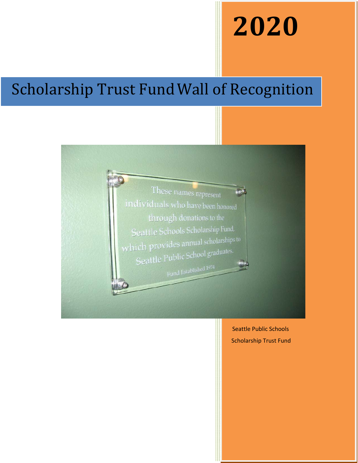## **2020**

## Scholarship Trust FundWall of Recognition



Seattle Public Schools Scholarship Trust Fund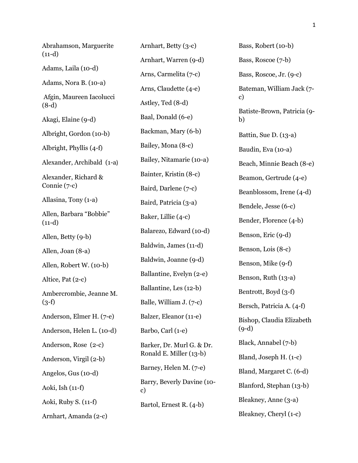Abrahamson, Marguerite  $(11-d)$ Adams, Laila (10-d) Adams, Nora B. (10-a) Afgin, Maureen Iacolucci (8-d) Akagi, Elaine (9-d) Albright, Gordon (10-b) Albright, Phyllis (4-f) Alexander, Archibald (1-a) Alexander, Richard & Connie (7-c) Allasina, Tony (1-a) Allen, Barbara "Bobbie"  $(11-d)$ Allen, Betty (9-b) Allen, Joan (8-a) Allen, Robert W. (10-b) Altice, Pat (2-c) Ambercrombie, Jeanne M.  $(3-f)$ Anderson, Elmer H. (7-e) Anderson, Helen L. (10-d) Anderson, Rose (2-c) Anderson, Virgil (2-b) Angelos, Gus (10-d) Aoki, Ish (11-f) Aoki, Ruby S. (11-f) Arnhart, Amanda (2-c)

Arnhart, Betty (3-c) Arnhart, Warren (9-d) Arns, Carmelita (7-c) Arns, Claudette (4-e) Astley, Ted (8-d) Baal, Donald (6-e) Backman, Mary (6-b) Bailey, Mona (8-c) Bailey, Nitamarie (10-a) Bainter, Kristin (8-c) Baird, Darlene (7-c) Baird, Patricia (3-a) Baker, Lillie (4-c) Balarezo, Edward (10-d) Baldwin, James (11-d) Baldwin, Joanne (9-d) Ballantine, Evelyn (2-e) Ballantine, Les (12-b) Balle, William J. (7-c) Balzer, Eleanor (11-e) Barbo, Carl (1-e) Barker, Dr. Murl G. & Dr. Ronald E. Miller (13-b) Barney, Helen M. (7-e) Barry, Beverly Davine (10 c) Bartol, Ernest R. (4-b)

Bass, Robert (10-b) Bass, Roscoe (7-b) Bass, Roscoe, Jr. (9-c) Bateman, William Jack (7 c) Batiste-Brown, Patricia (9 b) Battin, Sue D. (13-a) Baudin, Eva (10-a) Beach, Minnie Beach (8-e) Beamon, Gertrude (4-e) Beanblossom, Irene (4-d) Bendele, Jesse (6-c) Bender, Florence (4-b) Benson, Eric (9-d) Benson, Lois (8-c) Benson, Mike (9-f) Benson, Ruth (13-a) Bentrott, Boyd (3-f) Bersch, Patricia A. (4-f) Bishop, Claudia Elizabeth (9-d) Black, Annabel (7-b) Bland, Joseph H. (1-c) Bland, Margaret C. (6-d) Blanford, Stephan (13-b) Bleakney, Anne (3-a) Bleakney, Cheryl (1-c)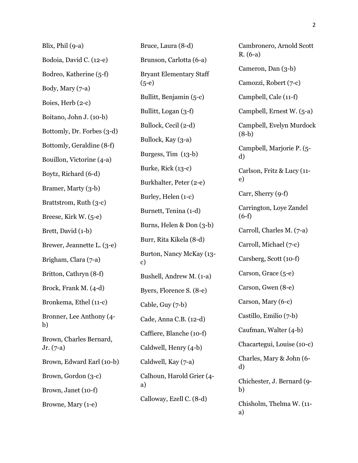| Blix, Phil (9-a)                       | Bruce, Laura (8-d)                                                                                                                                                |  |
|----------------------------------------|-------------------------------------------------------------------------------------------------------------------------------------------------------------------|--|
| Bodoia, David C. (12-e)                | Brunson, Carlotta (6-a)                                                                                                                                           |  |
| Bodreo, Katherine (5-f)                | <b>Bryant Elementary Staff</b><br>$(5-e)$<br>Bullitt, Benjamin (5-c)<br>Bullitt, Logan (3-f)                                                                      |  |
| Body, Mary (7-a)                       |                                                                                                                                                                   |  |
| Boies, Herb (2-c)                      |                                                                                                                                                                   |  |
| Boitano, John J. (10-b)                |                                                                                                                                                                   |  |
| Bottomly, Dr. Forbes (3-d)             | Bullock, Cecil (2-d)                                                                                                                                              |  |
| Bottomly, Geraldine (8-f)              | Bullock, Kay (3-a)<br>Burgess, Tim (13-b)<br>Burke, Rick (13-c)                                                                                                   |  |
| Bouillon, Victorine (4-a)              |                                                                                                                                                                   |  |
| Boytz, Richard (6-d)                   |                                                                                                                                                                   |  |
| Bramer, Marty (3-b)                    | Burkhalter, Peter (2-e)                                                                                                                                           |  |
| Brattstrom, Ruth (3-c)                 | Burley, Helen (1-c)<br>Burnett, Tenina (1-d)<br>Burns, Helen & Don (3-b)<br>Burr, Rita Kikela (8-d)<br>Burton, Nancy McKay (13-<br>c)<br>Bushell, Andrew M. (1-a) |  |
| Breese, Kirk W. (5-e)                  |                                                                                                                                                                   |  |
| Brett, David (1-b)                     |                                                                                                                                                                   |  |
| Brewer, Jeannette L. (3-e)             |                                                                                                                                                                   |  |
| Brigham, Clara (7-a)                   |                                                                                                                                                                   |  |
| Britton, Cathryn (8-f)                 |                                                                                                                                                                   |  |
| Brock, Frank M. (4-d)                  | Byers, Florence S. (8-e)                                                                                                                                          |  |
| Bronkema, Ethel (11-c)                 | Cable, Guy (7-b)<br>Cade, Anna C.B. (12-d)                                                                                                                        |  |
| Bronner, Lee Anthony (4-<br>b)         |                                                                                                                                                                   |  |
| Brown, Charles Bernard,<br>$Jr. (7-a)$ | Caffiere, Blanche (10-f)                                                                                                                                          |  |
|                                        | Caldwell, Henry (4-b)                                                                                                                                             |  |
| Brown, Edward Earl (10-b)              | Caldwell, Kay (7-a)                                                                                                                                               |  |
| Brown, Gordon (3-c)                    | Calhoun, Harold Grier (4-<br>a)                                                                                                                                   |  |
| Brown, Janet (10-f)                    |                                                                                                                                                                   |  |
| Browne, Mary (1-e)                     | Calloway, Ezell C. (8-d)                                                                                                                                          |  |

Cambronero, Arnold Scott R. (6-a) Cameron, Dan (3-b) Camozzi, Robert (7-c) Campbell, Cale (11-f) Campbell, Ernest W. (5-a) Campbell, Evelyn Murdock (8-b) Campbell, Marjorie P. (5 d) Carlson, Fritz & Lucy (11 e) Carr, Sherry (9-f) Carrington, Loye Zandel (6-f) Carroll, Charles M. (7-a) Carroll, Michael (7-c) Carsberg, Scott (10-f) Carson, Grace (5-e) Carson, Gwen (8-e) Carson, Mary (6-c) Castillo, Emilio (7-b) Caufman, Walter (4-b) Chacartegui, Louise (10-c) Charles, Mary & John (6 d) Chichester, J. Bernard (9 b) Chisholm, Thelma W. (11 a)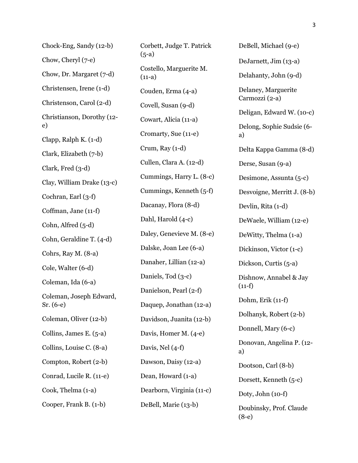Chock-Eng, Sandy (12-b) Chow, Cheryl (7-e) Chow, Dr. Margaret (7-d) Christensen, Irene (1-d) Christenson, Carol (2-d) Christianson, Dorothy (12 e) Clapp, Ralph K. (1-d) Clark, Elizabeth (7-b) Clark, Fred (3-d) Clay, William Drake (13-c) Cochran, Earl (3-f) Coffman, Jane (11-f) Cohn, Alfred (5-d) Cohn, Geraldine T. (4-d) Cohrs, Ray M. (8-a) Cole, Walter (6-d) Coleman, Ida (6-a) Coleman, Joseph Edward, Sr. (6-e) Coleman, Oliver (12-b) Collins, James E. (5-a) Collins, Louise C. (8-a) Compton, Robert (2-b) Conrad, Lucile R. (11-e) Cook, Thelma (1-a) Cooper, Frank B. (1-b)

Corbett, Judge T. Patrick  $(5-a)$ Costello, Marguerite M.  $(11-a)$ Couden, Erma (4-a) Covell, Susan (9-d) Cowart, Alicia (11-a) Cromarty, Sue (11-e) Crum, Ray (1-d) Cullen, Clara A. (12-d) Cummings, Harry L. (8-c) Cummings, Kenneth (5-f) Dacanay, Flora (8-d) Dahl, Harold (4-c) Daley, Genevieve M. (8-e) Dalske, Joan Lee (6-a) Danaher, Lillian (12-a) Daniels, Tod (3-c) Danielson, Pearl (2-f) Daquep, Jonathan (12-a) Davidson, Juanita (12-b) Davis, Homer M. (4-e) Davis, Nel (4-f) Dawson, Daisy (12-a) Dean, Howard (1-a) Dearborn, Virginia (11-c) DeBell, Marie (13-b)

DeJarnett, Jim (13-a) Delahanty, John (9-d) Delaney, Marguerite Carmozzi (2-a) Deligan, Edward W. (10-c) Delong, Sophie Sudsie (6 a) Delta Kappa Gamma (8-d) Derse, Susan (9-a) Desimone, Assunta (5-c) Desvoigne, Merritt J. (8-b) Devlin, Rita (1-d) DeWaele, William (12-e) DeWitty, Thelma (1-a) Dickinson, Victor (1-c) Dickson, Curtis (5-a) Dishnow, Annabel & Jay  $(11-f)$ Dohm, Erik (11-f) Dolhanyk, Robert (2-b) Donnell, Mary (6-c) Donovan, Angelina P. (12 a) Dootson, Carl (8-b) Dorsett, Kenneth (5-c) Doty, John (10-f) Doubinsky, Prof. Claude (8-e)

DeBell, Michael (9-e)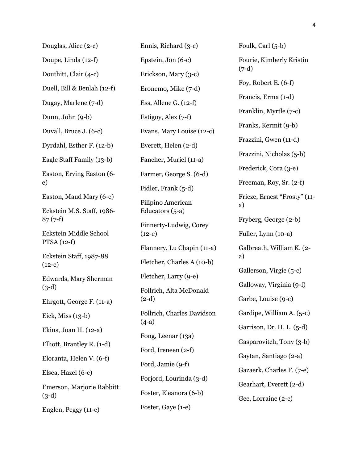| Douglas, Alice (2-c)                    |
|-----------------------------------------|
| Doupe, Linda (12-f)                     |
| Douthitt, Clair (4-c)                   |
| Duell, Bill & Beulah (12-f)             |
| Dugay, Marlene (7-d)                    |
| Dunn, John (9-b)                        |
| Duvall, Bruce J. (6-c)                  |
| Dyrdahl, Esther F. (12-b)               |
| Eagle Staff Family (13-b)               |
| Easton, Erving Easton (6-<br>e)         |
| Easton, Maud Mary (6-e)                 |
| Eckstein M.S. Staff, 1986-<br>$87(7-f)$ |
| Eckstein Middle School<br>$PTSA(12-f)$  |
| Eckstein Staff, 1987-88<br>$(12-e)$     |
| Edwards, Mary Sherman<br>$(3-d)$        |
| Ehrgott, George F. (11-a)               |
| Eick, Miss $(13-b)$                     |
| Ekins, Joan H. (12-a)                   |
| Elliott, Brantley R. (1-d)              |
| Eloranta, Helen V. (6-f)                |
| Elsea, Hazel (6-c)                      |
| Emerson, Marjorie Rabbitt<br>$(3-d)$    |
| Englen, Peggy (11-c)                    |

Ennis, Richard (3-c) Epstein, Jon (6-c) Erickson, Mary (3-c) Eronemo, Mike (7-d) Ess, Allene G. (12-f) Estigoy, Alex (7-f) Evans, Mary Louise (12-c) Everett, Helen (2-d) Fancher, Muriel (11-a) Farmer, George S. (6-d) Fidler, Frank (5-d) Filipino American Educators (5-a) Finnerty-Ludwig, Corey  $(12-e)$ Flannery, Lu Chapin (11-a) Fletcher, Charles A (10-b) Fletcher, Larry (9-e) Follrich, Alta McDonald (2-d) Follrich, Charles Davidson (4-a) Fong, Leenar (13a) Ford, Ireneen (2-f) Ford, Jamie (9-f) Forjord, Lourinda (3-d) Foster, Eleanora (6-b) Foster, Gaye (1-e)

Foulk, Carl (5-b) Fourie, Kimberly Kristin  $(7-d)$ Foy, Robert E. (6-f) Francis, Erma (1-d) Franklin, Myrtle (7-c) Franks, Kermit (9-b) Frazzini, Gwen (11-d) Frazzini, Nicholas (5-b) Frederick, Cora (3-e) Freeman, Roy, Sr. (2-f) Frieze, Ernest "Frosty" (11 a) Fryberg, George (2-b) Fuller, Lynn (10-a) Galbreath, William K. (2 a) Gallerson, Virgie (5-c) Galloway, Virginia (9-f) Garbe, Louise (9-c) Gardipe, William A. (5-c) Garrison, Dr. H. L. (5-d) Gasparovitch, Tony (3-b) Gaytan, Santiago (2-a) Gazaerk, Charles F. (7-e) Gearhart, Everett (2-d) Gee, Lorraine (2-c)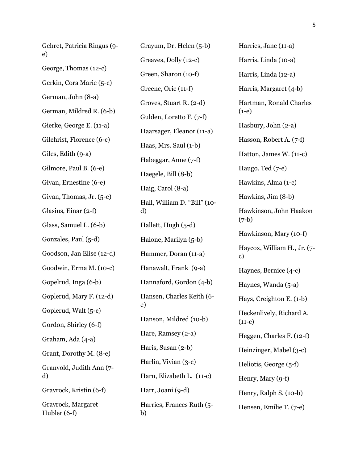Gehret, Patricia Ringus (9 e) George, Thomas (12-c) Gerkin, Cora Marie (5-c) German, John (8-a) German, Mildred R. (6-b) Gierke, George E. (11-a) Gilchrist, Florence (6-c) Giles, Edith (9-a) Gilmore, Paul B. (6-e) Givan, Ernestine (6-e) Givan, Thomas, Jr. (5-e) Glasius, Einar (2-f) Glass, Samuel L. (6-b) Gonzales, Paul (5-d) Goodson, Jan Elise (12-d) Goodwin, Erma M. (10-c) Gopelrud, Inga (6-b) Goplerud, Mary F. (12-d) Goplerud, Walt (5-c) Gordon, Shirley (6-f) Graham, Ada (4-a) Grant, Dorothy M. (8-e) Granvold, Judith Ann (7 d) Gravrock, Kristin (6-f) Gravrock, Margaret Hubler (6-f)

Grayum, Dr. Helen (5-b) Greaves, Dolly (12-c) Green, Sharon (10-f) Greene, Orie (11-f) Groves, Stuart R. (2-d) Gulden, Loretto F. (7-f) Haarsager, Eleanor (11-a) Haas, Mrs. Saul (1-b) Habeggar, Anne (7-f) Haegele, Bill (8-b) Haig, Carol (8-a) Hall, William D. "Bill" (10 d) Hallett, Hugh (5-d) Halone, Marilyn (5-b) Hammer, Doran (11-a) Hanawalt, Frank (9-a) Hannaford, Gordon (4-b) Hansen, Charles Keith (6 e) Hanson, Mildred (10-b) Hare, Ramsey (2-a) Haris, Susan (2-b) Harlin, Vivian (3-c) Harn, Elizabeth L. (11-c) Harr, Joani (9-d) Harries, Frances Ruth (5 b)

Harries, Jane (11-a) Harris, Linda (10-a) Harris, Linda (12-a) Harris, Margaret (4-b) Hartman, Ronald Charles (1-e) Hasbury, John (2-a) Hasson, Robert A. (7-f) Hatton, James W. (11-c) Haugo, Ted (7-e) Hawkins, Alma (1-c) Hawkins, Jim (8-b) Hawkinson, John Haakon (7-b) Hawkinson, Mary (10-f) Haycox, William H., Jr. (7 c) Haynes, Bernice (4-c) Haynes, Wanda (5-a) Hays, Creighton E. (1-b) Heckenlively, Richard A.  $(11-c)$ Heggen, Charles F. (12-f) Heinzinger, Mabel (3-c) Heliotis, George (5-f) Henry, Mary (9-f) Henry, Ralph S. (10-b) Hensen, Emilie T. (7-e)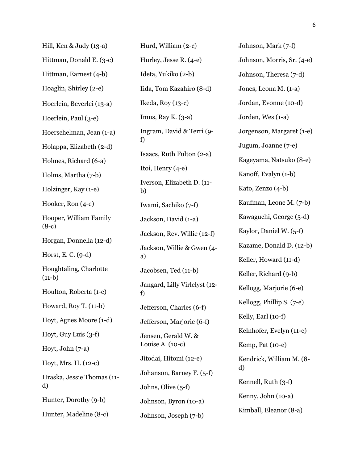| Hill, Ken & Judy (13-a)            |
|------------------------------------|
| Hittman, Donald E. (3-c)           |
| Hittman, Earnest (4-b)             |
| Hoaglin, Shirley (2-e)             |
| Hoerlein, Beverlei (13-a)          |
| Hoerlein, Paul (3-e)               |
| Hoerschelman, Jean (1-a)           |
| Holappa, Elizabeth (2-d)           |
| Holmes, Richard (6-a)              |
| Holms, Martha (7-b)                |
| Holzinger, Kay (1-e)               |
| Hooker, Ron (4-e)                  |
| Hooper, William Family<br>$(8-c)$  |
| Horgan, Donnella (12-d)            |
| Horst, E. C. (9-d)                 |
| Houghtaling, Charlotte<br>$(11-b)$ |
| Houlton, Roberta (1-c)             |
| Howard, Roy T. (11-b)              |
| Hoyt, Agnes Moore (1-d)            |
| Hoyt, Guy Luis (3-f)               |
| Hoyt, John $(7-a)$                 |
| Hoyt, Mrs. H. (12-c)               |
| Hraska, Jessie Thomas (11-<br>d)   |
| Hunter, Dorothy (9-b)              |
| Hunter, Madeline (8-c)             |

Hurd, William (2-c) Hurley, Jesse R. (4-e) Ideta, Yukiko (2-b) Iida, Tom Kazahiro (8-d) Ikeda, Roy (13-c) Imus, Ray K.  $(3-a)$ Ingram, David & Terri (9 f) Isaacs, Ruth Fulton (2-a) Itoi, Henry (4-e) Iverson, Elizabeth D. (11 b) Iwami, Sachiko (7-f) Jackson, David (1-a) Jackson, Rev. Willie (12-f) Jackson, Willie & Gwen (4 a) Jacobsen, Ted (11-b) Jangard, Lilly Virlelyst (12 f) Jefferson, Charles (6-f) Jefferson, Marjorie (6-f) Jensen, Gerald W. & Louise A. (10-c) Jitodai, Hitomi (12-e) Johanson, Barney F. (5-f) Johns, Olive (5-f) Johnson, Byron (10-a) Johnson, Joseph (7-b)

Johnson, Mark (7-f) Johnson, Morris, Sr. (4-e) Johnson, Theresa (7-d) Jones, Leona M. (1-a) Jordan, Evonne (10-d) Jorden, Wes (1-a) Jorgenson, Margaret (1-e) Jugum, Joanne (7-e) Kageyama, Natsuko (8-e) Kanoff, Evalyn (1-b) Kato, Zenzo (4-b) Kaufman, Leone M. (7-b) Kawaguchi, George (5-d) Kaylor, Daniel W. (5-f) Kazame, Donald D. (12-b) Keller, Howard (11-d) Keller, Richard (9-b) Kellogg, Marjorie (6-e) Kellogg, Phillip S. (7-e) Kelly, Earl (10-f) Kelnhofer, Evelyn (11-e) Kemp, Pat (10-e) Kendrick, William M. (8 d) Kennell, Ruth (3-f) Kenny, John (10-a) Kimball, Eleanor (8-a)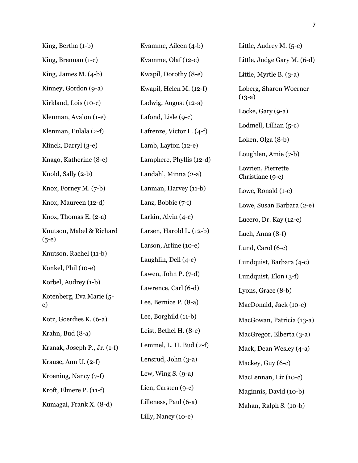| King, Bertha (1-b)             | Kvamme, Aileen (4-b)                                                                               |  |
|--------------------------------|----------------------------------------------------------------------------------------------------|--|
| King, Brennan $(1-c)$          | Kvamme, Olaf (12-c)                                                                                |  |
| King, James M. $(4-b)$         | Kwapil, Dorothy (8-e)                                                                              |  |
| Kinney, Gordon (9-a)           | Kwapil, Helen M. (12-f)                                                                            |  |
| Kirkland, Lois (10-c)          | Ladwig, August (12-a)                                                                              |  |
| Klenman, Avalon (1-e)          | Lafond, Lisle (9-c)                                                                                |  |
| Klenman, Eulala (2-f)          | Lafrenze, Victor L. (4-f)                                                                          |  |
| Klinck, Darryl (3-e)           | Lamb, Layton (12-e)                                                                                |  |
| Knago, Katherine (8-e)         | Lamphere, Phyllis (12-d)                                                                           |  |
| Knold, Sally (2-b)             | Landahl, Minna (2-a)                                                                               |  |
| Knox, Forney M. $(7-b)$        | Lanman, Harvey (11-b)                                                                              |  |
| Knox, Maureen (12-d)           | Lanz, Bobbie (7-f)<br>Larkin, Alvin (4-c)                                                          |  |
| Knox, Thomas E. (2-a)          |                                                                                                    |  |
| Knutson, Mabel & Richard       | Larsen, Harold L. (12-b)                                                                           |  |
| $(5-e)$                        | Larson, Arline (10-e)                                                                              |  |
| Knutson, Rachel (11-b)         | Laughlin, Dell (4-c)<br>Lawen, John P. (7-d)                                                       |  |
| Konkel, Phil (10-e)            |                                                                                                    |  |
| Korbel, Audrey (1-b)           | Lawrence, Carl (6-d)                                                                               |  |
| Kotenberg, Eva Marie (5-<br>e) | Lee, Bernice P. (8-a)                                                                              |  |
| Kotz, Goerdies K. (6-a)        | Lee, Borghild (11-b)                                                                               |  |
| Krahn, Bud (8-a)               | Leist, Bethel H. (8-e)<br>Lemmel, L. H. Bud $(2-f)$<br>Lensrud, John (3-a)<br>Lew, Wing S. $(9-a)$ |  |
| Kranak, Joseph P., Jr. (1-f)   |                                                                                                    |  |
| Krause, Ann U. (2-f)           |                                                                                                    |  |
| Kroening, Nancy (7-f)          |                                                                                                    |  |
| Kroft, Elmere P. (11-f)        | Lien, Carsten (9-c)                                                                                |  |
| Kumagai, Frank X. (8-d)        | Lilleness, Paul (6-a)                                                                              |  |
|                                | Lilly, Nancy (10-e)                                                                                |  |

Little, Audrey M. (5-e) Little, Judge Gary M. (6-d) Little, Myrtle B. (3-a) Loberg, Sharon Woerner (13-a) Locke, Gary (9-a) Lodmell, Lillian (5-c) Loken, Olga (8-b) Loughlen, Amie (7-b) Lovrien, Pierrette Christiane (9-c) Lowe, Ronald (1-c) Lowe, Susan Barbara (2-e) Lucero, Dr. Kay (12-e) Luch, Anna (8-f) Lund, Carol (6-c) Lundquist, Barbara (4-c) Lundquist, Elon (3-f) Lyons, Grace (8-b) MacDonald, Jack (10-e) MacGowan, Patricia (13-a) MacGregor, Elberta (3-a) Mack, Dean Wesley (4-a) Mackey, Guy (6-c) MacLennan, Liz (10-c) Maginnis, David (10-b) Mahan, Ralph S. (10-b)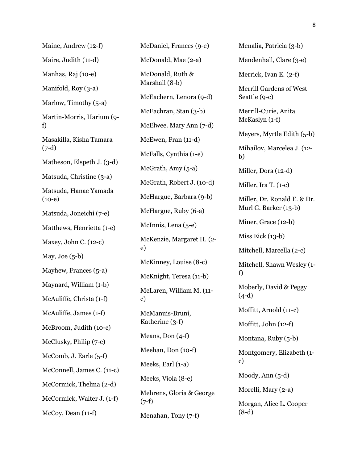Maine, Andrew (12-f) Maire, Judith (11-d) Manhas, Raj (10-e) Manifold, Roy (3-a) Marlow, Timothy (5-a) Martin-Morris, Harium (9 f) Masakilla, Kisha Tamara (7-d) Matheson, Elspeth J. (3-d) Matsuda, Christine (3-a) Matsuda, Hanae Yamada  $(10-e)$ Matsuda, Joneichi (7-e) Matthews, Henrietta (1-e) Maxey, John C. (12-c) May, Joe  $(5-b)$ Mayhew, Frances (5-a) Maynard, William (1-b) McAuliffe, Christa (1-f) McAuliffe, James (1-f) McBroom, Judith (10-c) McClusky, Philip (7-c) McComb, J. Earle (5-f) McConnell, James C. (11-c) McCormick, Thelma (2-d) McCormick, Walter J. (1-f) McCoy, Dean (11-f)

McDaniel, Frances (9-e) McDonald, Mae (2-a) McDonald, Ruth & Marshall (8-b) McEachern, Lenora (9-d) McEachran, Stan (3-b) McElwee. Mary Ann (7-d) McEwen, Fran (11-d) McFalls, Cynthia (1-e) McGrath, Amy  $(5-a)$ McGrath, Robert J. (10-d) McHargue, Barbara (9-b) McHargue, Ruby (6-a) McInnis, Lena (5-e) McKenzie, Margaret H. (2 e) McKinney, Louise (8-c) McKnight, Teresa (11-b) McLaren, William M. (11 c) McManuis-Bruni, Katherine (3-f) Means, Don (4-f) Meehan, Don (10-f) Meeks, Earl (1-a) Meeks, Viola (8-e) Mehrens, Gloria & George  $(7-f)$ Menahan, Tony (7-f)

Menalia, Patricia (3-b) Mendenhall, Clare (3-e) Merrick, Ivan E. (2-f) Merrill Gardens of West Seattle (9-c) Merrill-Curie, Anita McKaslyn (1-f) Meyers, Myrtle Edith (5-b) Mihailov, Marcelea J. (12 b) Miller, Dora (12-d) Miller, Ira T. (1-c) Miller, Dr. Ronald E. & Dr. Murl G. Barker (13-b) Miner, Grace (12-b) Miss Eick  $(13-b)$ Mitchell, Marcella (2-c) Mitchell, Shawn Wesley (1 f) Moberly, David & Peggy (4-d) Moffitt, Arnold (11-c) Moffitt, John (12-f) Montana, Ruby (5-b) Montgomery, Elizabeth (1 c) Moody, Ann (5-d) Morelli, Mary (2-a) Morgan, Alice L. Cooper (8-d)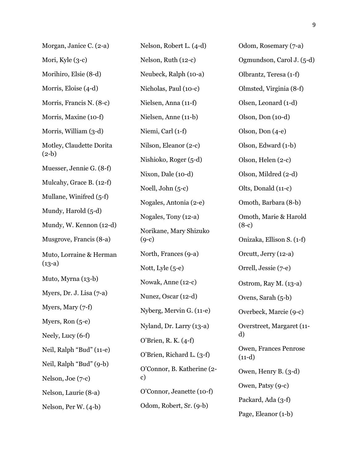| Morgan, Janice C. (2-a)                         | Nelson, Robert L. (4-d)                                   | Odom, Rosemary (7-a)              |
|-------------------------------------------------|-----------------------------------------------------------|-----------------------------------|
| Mori, Kyle (3-c)                                | Nelson, Ruth (12-c)                                       | Ogmundson, Carol J. (5-d)         |
| Morihiro, Elsie (8-d)                           | Neubeck, Ralph (10-a)                                     | Olbrantz, Teresa (1-f)            |
| Morris, Eloise (4-d)                            | Nicholas, Paul (10-c)                                     | Olmsted, Virginia (8-f)           |
| Morris, Francis N. (8-c)                        | Nielsen, Anna (11-f)                                      | Olsen, Leonard (1-d)              |
| Morris, Maxine (10-f)                           | Nielsen, Anne (11-b)                                      | Olson, Don (10-d)                 |
| Morris, William (3-d)                           | Niemi, Carl (1-f)                                         | Olson, Don (4-e)                  |
| Motley, Claudette Dorita                        | Nilson, Eleanor (2-c)                                     | Olson, Edward (1-b)               |
| $(2-b)$                                         | Nishioko, Roger (5-d)                                     | Olson, Helen (2-c)                |
| Muesser, Jennie G. (8-f)                        | Nixon, Dale (10-d)                                        | Olson, Mildred (2-d)              |
| Mulcahy, Grace B. (12-f)                        | Noell, John (5-c)                                         | Olts, Donald (11-c)               |
| Mullane, Winifred (5-f)                         | Nogales, Antonia (2-e)                                    | Omoth, Barbara (8-b)              |
| Mundy, Harold (5-d)                             | Nogales, Tony (12-a)<br>Norikane, Mary Shizuko<br>$(9-c)$ | Omoth, Marie & Harold             |
| Mundy, W. Kennon (12-d)                         |                                                           | $(8-c)$                           |
| Musgrove, Francis (8-a)                         |                                                           | Onizaka, Ellison S. (1-f)         |
| Muto, Lorraine & Herman                         | North, Frances (9-a)                                      | Orcutt, Jerry (12-a)              |
| $(13-a)$                                        | Nott, Lyle (5-e)                                          | Orrell, Jessie (7-e)              |
| Muto, Myrna (13-b)                              | Nowak, Anne (12-c)                                        | Ostrom, Ray M. (13-a)             |
| Myers, Dr. J. Lisa (7-a)                        | Nunez, Oscar (12-d)                                       | Ovens, Sarah (5-b)                |
| Myers, Mary (7-f)                               | Nyberg, Mervin G. (11-e)                                  | Overbeck, Marcie (9-c)            |
| Myers, Ron (5-e)                                | Nyland, Dr. Larry (13-a)                                  | Overstreet, Margaret (11-         |
| Neely, Lucy (6-f)                               | O'Brien, R. K. (4-f)                                      | d)                                |
| Neil, Ralph "Bud" (11-e)                        | O'Brien, Richard L. (3-f)                                 | Owen, Frances Penrose<br>$(11-d)$ |
| Neil, Ralph "Bud" (9-b)                         | O'Connor, B. Katherine (2-                                | Owen, Henry B. (3-d)              |
| Nelson, Joe (7-c)                               | c)                                                        | Owen, Patsy (9-c)                 |
| Nelson, Laurie (8-a)                            | O'Connor, Jeanette (10-f)                                 | Packard, Ada (3-f)                |
| Odom, Robert, Sr. (9-b)<br>Nelson, Per W. (4-b) |                                                           | Page, Eleanor (1-b)               |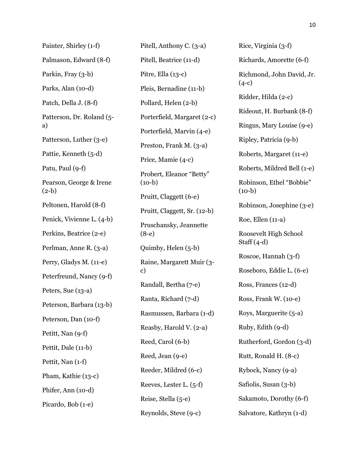Painter, Shirley (1-f) Palmason, Edward (8-f) Parkin, Fray (3-b) Parks, Alan (10-d) Patch, Della J. (8-f) Patterson, Dr. Roland (5 a) Patterson, Luther (3-e) Pattie, Kenneth (5-d) Patu, Paul (9-f) Pearson, George & Irene  $(2-b)$ Peltonen, Harold (8-f) Penick, Vivienne L. (4-b) Perkins, Beatrice (2-e) Perlman, Anne R. (3-a) Perry, Gladys M. (11-e) Peterfreund, Nancy (9-f) Peters, Sue (13-a) Peterson, Barbara (13-b) Peterson, Dan (10-f) Petitt, Nan (9-f) Pettit, Dale (11-b) Pettit, Nan (1-f) Pham, Kathie (13-c) Phifer, Ann (10-d) Picardo, Bob (1-e)

Pitell, Anthony C. (3-a) Pitell, Beatrice (11-d) Pitre, Ella (13-c) Pleis, Bernadine (11-b) Pollard, Helen (2-b) Porterfield, Margaret (2-c) Porterfield, Marvin (4-e) Preston, Frank M. (3-a) Price, Mamie (4-c) Probert, Eleanor "Betty"  $(10-b)$ Pruitt, Claggett (6-e) Pruitt, Claggett, Sr. (12-b) Pruschansky, Jeannette (8-e) Quimby, Helen (5-b) Raine, Margarett Muir (3 c) Randall, Bertha (7-e) Ranta, Richard (7-d) Rasmussen, Barbara (1-d) Reasby, Harold V. (2-a) Reed, Carol (6-b) Reed, Jean (9-e) Reeder, Mildred (6-c) Reeves, Lester L. (5-f) Reise, Stella (5-e) Reynolds, Steve (9-c)

Rice, Virginia (3-f) Richards, Amorette (6-f) Richmond, John David, Jr.  $(4-c)$ Ridder, Hilda (2-c) Rideout, H. Burbank (8-f) Ringus, Mary Louise (9-e) Ripley, Patricia (9-b) Roberts, Margaret (11-e) Roberts, Mildred Bell (1-e) Robinson, Ethel "Bobbie"  $(10-b)$ Robinson, Josephine (3-e) Roe, Ellen (11-a) Roosevelt High School Staff  $(4-d)$ Roscoe, Hannah (3-f) Roseboro, Eddie L. (6-e) Ross, Frances (12-d) Ross, Frank W. (10-e) Roys, Marguerite (5-a) Ruby, Edith (9-d) Rutherford, Gordon (3-d) Rutt, Ronald H. (8-c) Rybock, Nancy (9-a) Safiolis, Susan (3-b) Sakamoto, Dorothy (6-f) Salvatore, Kathryn (1-d)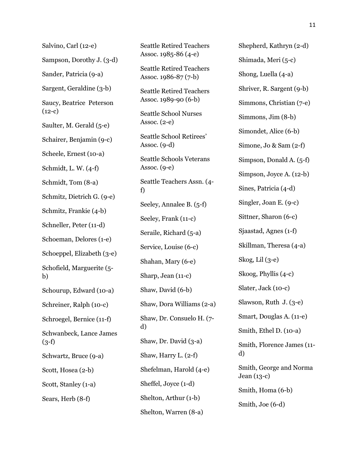Salvino, Carl (12-e) Sampson, Dorothy J. (3-d) Sander, Patricia (9-a) Sargent, Geraldine (3-b) Saucy, Beatrice Peterson  $(12-c)$ Saulter, M. Gerald (5-e) Schairer, Benjamin (9-c) Scheele, Ernest (10-a) Schmidt, L. W. (4-f) Schmidt, Tom (8-a) Schmitz, Dietrich G. (9-e) Schmitz, Frankie (4-b) Schneller, Peter (11-d) Schoeman, Delores (1-e) Schoeppel, Elizabeth (3-e) Schofield, Marguerite (5 b) Schourup, Edward (10-a) Schreiner, Ralph (10-c) Schroegel, Bernice (11-f) Schwanbeck, Lance James  $(3-f)$ Schwartz, Bruce (9-a) Scott, Hosea (2-b) Scott, Stanley (1-a) Sears, Herb (8-f)

Seattle Retired Teachers Assoc. 1986-87 (7-b) Seattle Retired Teachers Assoc. 1989-90 (6-b) Seattle School Nurses Assoc. (2-e) Seattle School Retirees' Assoc. (9-d) Seattle Schools Veterans Assoc.  $(q-e)$ Seattle Teachers Assn. (4 f) Seeley, Annalee B. (5-f) Seeley, Frank (11-c) Seraile, Richard (5-a) Service, Louise (6-c) Shahan, Mary (6-e) Sharp, Jean (11-c) Shaw, David (6-b) Shaw, Dora Williams (2-a) Shaw, Dr. Consuelo H. (7 d) Shaw, Dr. David (3-a) Shaw, Harry L. (2-f) Shefelman, Harold (4-e) Sheffel, Joyce (1-d) Shelton, Arthur (1-b) Shelton, Warren (8-a)

Seattle Retired Teachers Assoc. 1985-86 (4-e)

Shepherd, Kathryn (2-d) Shimada, Meri (5-c) Shong, Luella (4-a) Shriver, R. Sargent (9-b) Simmons, Christian (7-e) Simmons, Jim (8-b) Simondet, Alice (6-b) Simone, Jo & Sam (2-f) Simpson, Donald A. (5-f) Simpson, Joyce A. (12-b) Sines, Patricia (4-d) Singler, Joan E. (9-c) Sittner, Sharon (6-c) Sjaastad, Agnes (1-f) Skillman, Theresa (4-a) Skog, Lil (3-e) Skoog, Phyllis (4-c) Slater, Jack (10-c) Slawson, Ruth J. (3-e) Smart, Douglas A. (11-e) Smith, Ethel D. (10-a) Smith, Florence James (11 d) Smith, George and Norma Jean (13-c) Smith, Homa (6-b) Smith, Joe (6-d)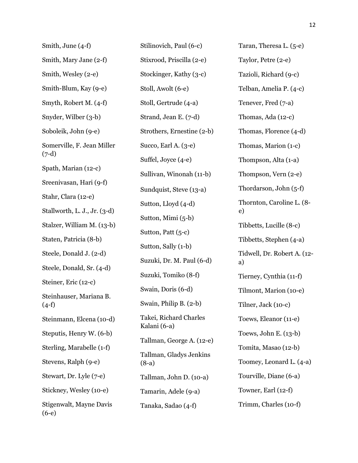| Smith, June (4-f)                     |
|---------------------------------------|
| Smith, Mary Jane (2-f)                |
| Smith, Wesley (2-e)                   |
| Smith-Blum, Kay (9-e)                 |
| Smyth, Robert M. (4-f)                |
| Snyder, Wilber (3-b)                  |
| Soboleik, John (9-e)                  |
| Somerville, F. Jean Miller<br>$(7-d)$ |
| Spath, Marian (12-c)                  |
| Sreenivasan, Hari (9-f)               |
| Stahr, Clara (12-e)                   |
| Stallworth, L. J., Jr. (3-d)          |
| Stalzer, William M. (13-b)            |
| Staten, Patricia (8-b)                |
| Steele, Donald J. (2-d)               |
| Steele, Donald, Sr. (4-d)             |
| Steiner, Eric (12-c)                  |
| Steinhauser, Mariana B.<br>$(4-f)$    |
| Steinmann, Elcena (10-d)              |
| Steputis, Henry W. (6-b)              |
| Sterling, Marabelle (1-f)             |
| Stevens, Ralph (9-e)                  |
| Stewart, Dr. Lyle (7-e)               |
| Stickney, Wesley (10-e)               |
| Stigenwalt, Mayne Davis<br>$(6-e)$    |

Stilinovich, Paul (6-c) Stixrood, Priscilla (2-e) Stockinger, Kathy (3-c) Stoll, Awolt (6-e) Stoll, Gertrude (4-a) Strand, Jean E. (7-d) Strothers, Ernestine (2-b) Succo, Earl A. (3-e) Suffel, Joyce (4-e) Sullivan, Winonah (11-b) Sundquist, Steve (13-a) Sutton, Lloyd (4-d) Sutton, Mimi (5-b) Sutton, Patt (5-c) Sutton, Sally (1-b) Suzuki, Dr. M. Paul (6-d) Suzuki, Tomiko (8-f) Swain, Doris (6-d) Swain, Philip B. (2-b) Takei, Richard Charles Kalani (6-a) Tallman, George A. (12-e) Tallman, Gladys Jenkins (8-a) Tallman, John D. (10-a) Tamarin, Adele (9-a) Tanaka, Sadao (4-f)

Taran, Theresa L. (5-e) Taylor, Petre (2-e) Tazioli, Richard (9-c) Telban, Amelia P. (4-c) Tenever, Fred (7-a) Thomas, Ada (12-c) Thomas, Florence (4-d) Thomas, Marion (1-c) Thompson, Alta (1-a) Thompson, Vern (2-e) Thordarson, John (5-f) Thornton, Caroline L. (8 e) Tibbetts, Lucille (8-c) Tibbetts, Stephen (4-a) Tidwell, Dr. Robert A. (12 a) Tierney, Cynthia (11-f) Tilmont, Marion (10-e) Tilner, Jack (10-c) Toews, Eleanor (11-e) Toews, John E. (13-b) Tomita, Masao (12-b) Toomey, Leonard L. (4-a) Tourville, Diane (6-a) Towner, Earl (12-f) Trimm, Charles (10-f)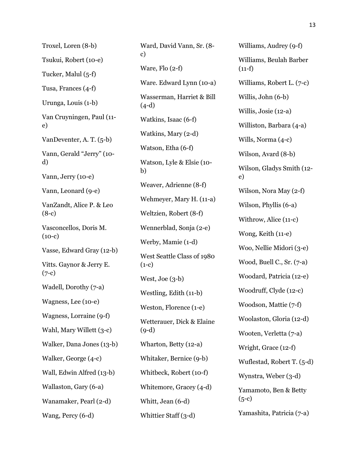Troxel, Loren (8-b) Tsukui, Robert (10-e) Tucker, Malul (5-f) Tusa, Frances (4-f) Urunga, Louis (1-b) Van Cruyningen, Paul (11 e) VanDeventer, A. T. (5-b) Vann, Gerald "Jerry" (10 d) Vann, Jerry (10-e) Vann, Leonard (9-e) VanZandt, Alice P. & Leo (8-c) Vasconcellos, Doris M.  $(10-c)$ Vasse, Edward Gray (12-b) Vitts. Gaynor & Jerry E.  $(7-c)$ Wadell, Dorothy (7-a) Wagness, Lee (10-e) Wagness, Lorraine (9-f) Wahl, Mary Willett (3-c) Walker, Dana Jones (13-b) Walker, George (4-c) Wall, Edwin Alfred (13-b) Wallaston, Gary (6-a) Wanamaker, Pearl (2-d) Wang, Percy (6-d)

Ward, David Vann, Sr. (8 c) Ware, Flo (2-f) Ware. Edward Lynn (10-a) Wasserman, Harriet & Bill (4-d) Watkins, Isaac (6-f) Watkins, Mary (2-d) Watson, Etha (6-f) Watson, Lyle & Elsie (10 b) Weaver, Adrienne (8-f) Wehmeyer, Mary H. (11-a) Weltzien, Robert (8-f) Wennerblad, Sonja (2-e) Werby, Mamie (1-d) West Seattle Class of 1980  $(1-c)$ West, Joe (3-b) Westling, Edith (11-b) Weston, Florence (1-e) Wetterauer, Dick & Elaine (9-d) Wharton, Betty (12-a) Whitaker, Bernice (9-b) Whitbeck, Robert (10-f) Whitemore, Gracey (4-d) Whitt, Jean (6-d) Whittier Staff (3-d)

Williams, Audrey (9-f) Williams, Beulah Barber  $(11-f)$ Williams, Robert L. (7-c) Willis, John (6-b) Willis, Josie (12-a) Williston, Barbara (4-a) Wills, Norma (4-c) Wilson, Avard (8-b) Wilson, Gladys Smith (12 e) Wilson, Nora May (2-f) Wilson, Phyllis (6-a) Withrow, Alice (11-c) Wong, Keith (11-e) Woo, Nellie Midori (3-e) Wood, Buell C., Sr. (7-a) Woodard, Patricia (12-e) Woodruff, Clyde (12-c) Woodson, Mattie (7-f) Woolaston, Gloria (12-d) Wooten, Verletta (7-a) Wright, Grace (12-f) Wuflestad, Robert T. (5-d) Wynstra, Weber (3-d) Yamamoto, Ben & Betty  $(5-c)$ Yamashita, Patricia (7-a)